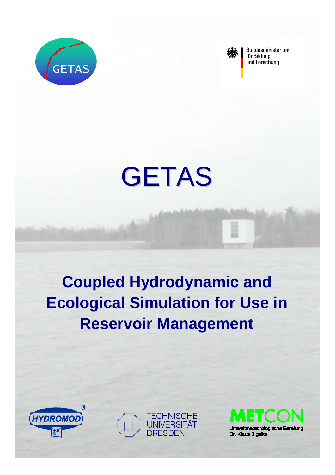



Bundesministerium für Bildung und Forschung

# GETAS

# **Coupled Hydrodynamic and Ecological Simulation for Use in Reservoir Management**





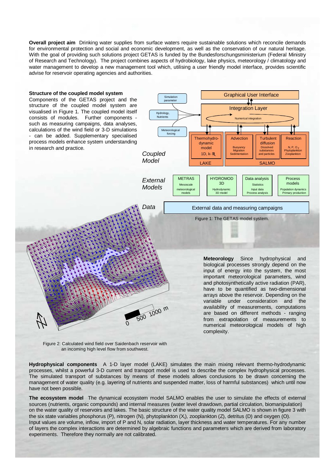**Overall project aim** Drinking water supplies from surface waters require sustainable solutions which reconcile demands for environmental protection and social and economic development, as well as the conservation of our natural heritage. With the goal of providing such solutions project GETAS is funded by the Bundesforschungsministerium (Federal Ministry of Research and Technology). The project combines aspects of hydrobiology, lake physics, meteorology / climatology and water management to develop a new management tool which, utilising a user friendly model interface, provides scientific advise for reservoir operating agencies and authorities.



Figure 2: Calculated wind field over Saidenbach reservoir with an incoming high level flow from southwest.

**Hydrophysical components** A 1-D layer model (LAKE) simulates the main mixing relevant thermo-hydrodynamic processes, whilst a powerful 3-D current and transport model is used to describe the complex hydrophysical processes. The simulated transport of substances by means of these models allows conclusions to be drawn concerning the management of water quality (e.g. layering of nutrients and suspended matter, loss of harmful substances) which until now have not been possible.

**The ecosystem model** The dynamical ecosystem model SALMO enables the user to simulate the effects of external sources (nutrients, organic compounds) and internal measures (water level drawdown, partial circulation, biomanipulation) on the water quality of reservoirs and lakes. The basic structure of the water quality model SALMO is shown in figure 3 with the six state variables phosphorus (P), nitrogen (N), phytoplankton (X<sub>i</sub>), zooplankton (Z), detritus (D) and oxygen (O). Input values are volume, inflow, import of P and N, solar radiation, layer thickness and water temperatures. For any number of layers the complex interactions are determined by algebraic functions and parameters which are derived from laboratory experiments. Therefore they normally are not calibrated.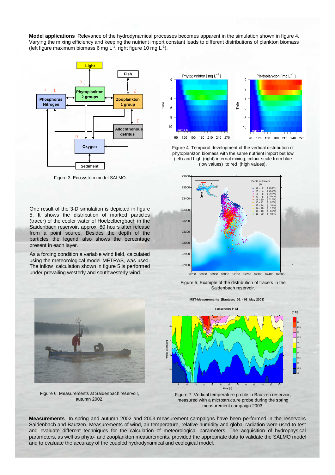**Model applications** Relevance of the hydrodynamical processes becomes apparent in the simulation shown in figure 4. Varying the mixing efficiency and keeping the nutrient import constant leads to different distributions of plankton biomass (left figure maximum biomass 6 mg  $L^{-1}$ , right figure 10 mg  $L^{-1}$ ).



Figure 3: Ecosystem model SALMO.

One result of the 3-D simulation is depicted in figure 5. It shows the distribution of marked particles (tracer) of the cooler water of Hoelzelbergbach in the Saidenbach reservoir, approx. 80 hours after release from a point source. Besides the depth of the particles the legend also shows the percentage present in each layer.

As a forcing condition a variable wind field, calculated using the meteorological model METRAS, was used. The inflow calculation shown in figure 5 is performed under prevailing westerly and southwesterly wind.



Figure 4: Temporal development of the vertical distribution of phytoplankton biomass with the same nutrient import but low (left) and high (right) internal mixing; colour scale from blue (low values) to red (high values).



Figure 5: Example of the distribution of tracers in the Saidenbach reservoir.

Figure 6: Measurements at Saidenbach reservoir, autumn 2002.

**MST-Measurements (Bautzen; 05. - 08. May 2003)**



Figure 7: Vertical temperature profile in Bautzen reservoir, measured with a microstructure probe during the spring measurement campaign 2003.

**Measurements** In spring and autumn 2002 and 2003 measurement campaigns have been performed in the reservoirs Saidenbach and Bautzen. Measurements of wind, air temperature, relative humidity and global radiation were used to test and evaluate different techniques for the calculation of meteorological parameters. The acquisition of hydrophysical parameters, as well as phyto- and zooplankton measurements, provided the appropriate data to validate the SALMO model and to evaluate the accuracy of the coupled hydrodynamical and ecological model.